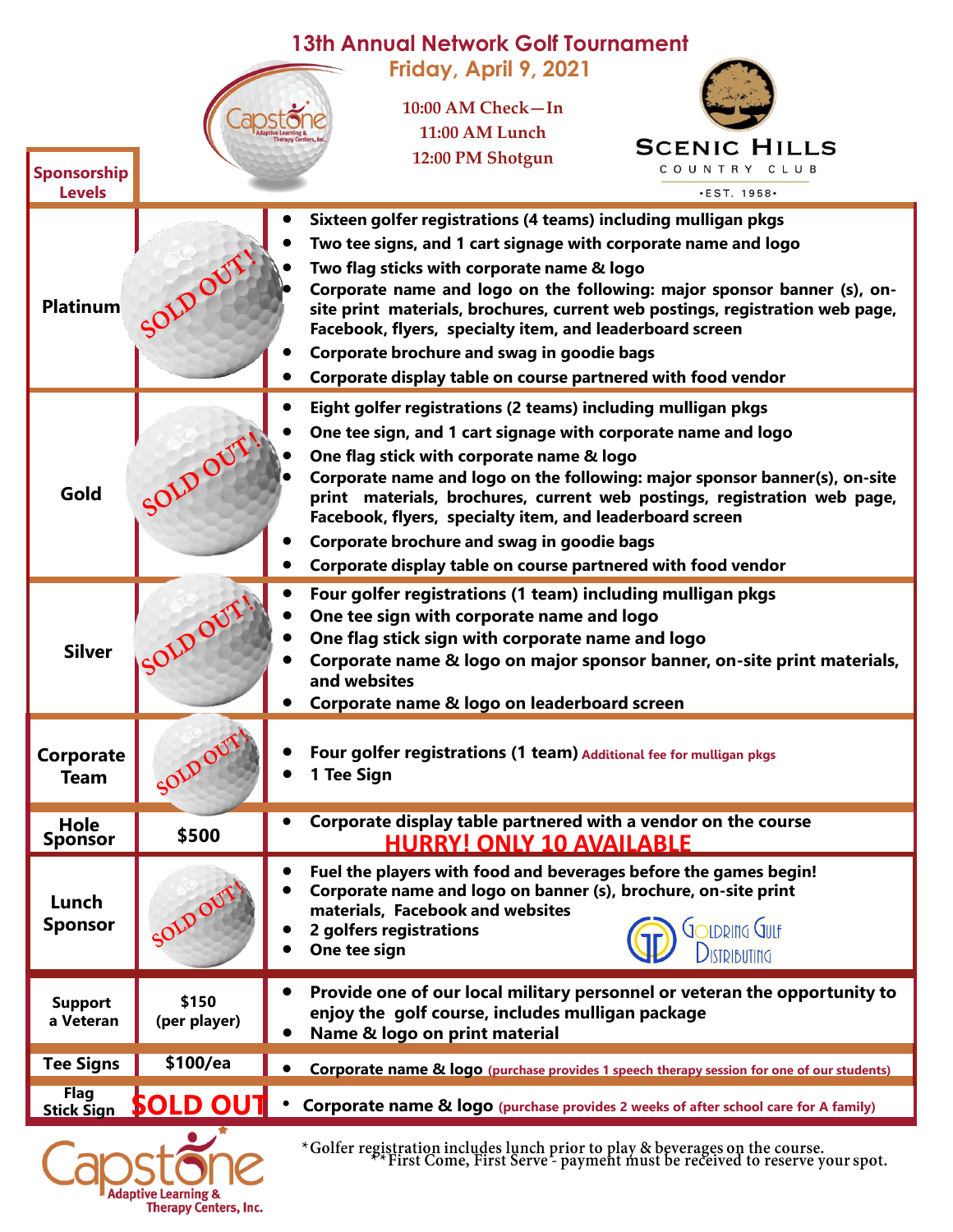| <b>13th Annual Network Golf Tournament</b> |                                                                     |                                                                                                                                                             |  |  |  |  |
|--------------------------------------------|---------------------------------------------------------------------|-------------------------------------------------------------------------------------------------------------------------------------------------------------|--|--|--|--|
|                                            |                                                                     | Friday, April 9, 2021                                                                                                                                       |  |  |  |  |
|                                            |                                                                     | 10:00 AM Check-In                                                                                                                                           |  |  |  |  |
|                                            |                                                                     | 11:00 AM Lunch                                                                                                                                              |  |  |  |  |
|                                            |                                                                     | <b>SCENIC HILLS</b>                                                                                                                                         |  |  |  |  |
| Sponsorship                                |                                                                     | 12:00 PM Shotgun<br>COUNTRY CLUB                                                                                                                            |  |  |  |  |
| <b>Levels</b>                              |                                                                     | $\cdot$ EST. 1958 $\cdot$                                                                                                                                   |  |  |  |  |
|                                            |                                                                     | Sixteen golfer registrations (4 teams) including mulligan pkgs                                                                                              |  |  |  |  |
|                                            |                                                                     | Two tee signs, and 1 cart signage with corporate name and logo                                                                                              |  |  |  |  |
|                                            |                                                                     | Two flag sticks with corporate name & logo                                                                                                                  |  |  |  |  |
|                                            |                                                                     | Corporate name and logo on the following: major sponsor banner (s), on-                                                                                     |  |  |  |  |
| <b>Platinum</b>                            |                                                                     | site print materials, brochures, current web postings, registration web page,                                                                               |  |  |  |  |
|                                            |                                                                     | Facebook, flyers, specialty item, and leaderboard screen                                                                                                    |  |  |  |  |
|                                            |                                                                     | Corporate brochure and swag in goodie bags                                                                                                                  |  |  |  |  |
|                                            |                                                                     | Corporate display table on course partnered with food vendor                                                                                                |  |  |  |  |
|                                            |                                                                     | Eight golfer registrations (2 teams) including mulligan pkgs                                                                                                |  |  |  |  |
|                                            |                                                                     | One tee sign, and 1 cart signage with corporate name and logo                                                                                               |  |  |  |  |
|                                            |                                                                     | One flag stick with corporate name & logo                                                                                                                   |  |  |  |  |
| Gold                                       |                                                                     | Corporate name and logo on the following: major sponsor banner(s), on-site                                                                                  |  |  |  |  |
|                                            |                                                                     | print materials, brochures, current web postings, registration web page,<br>Facebook, flyers, specialty item, and leaderboard screen                        |  |  |  |  |
|                                            |                                                                     | Corporate brochure and swag in goodie bags                                                                                                                  |  |  |  |  |
|                                            |                                                                     | Corporate display table on course partnered with food vendor                                                                                                |  |  |  |  |
|                                            |                                                                     | Four golfer registrations (1 team) including mulligan pkgs                                                                                                  |  |  |  |  |
|                                            |                                                                     | One tee sign with corporate name and logo                                                                                                                   |  |  |  |  |
|                                            |                                                                     | One flag stick sign with corporate name and logo                                                                                                            |  |  |  |  |
| <b>Silver</b>                              | SOLDO                                                               | Corporate name & logo on major sponsor banner, on-site print materials,                                                                                     |  |  |  |  |
|                                            |                                                                     | and websites                                                                                                                                                |  |  |  |  |
|                                            |                                                                     | Corporate name & logo on leaderboard screen                                                                                                                 |  |  |  |  |
|                                            |                                                                     |                                                                                                                                                             |  |  |  |  |
| Corporate                                  | Four golfer registrations (1 team) Additional fee for mulligan pkgs |                                                                                                                                                             |  |  |  |  |
| <b>Team</b>                                |                                                                     | 1 Tee Sign                                                                                                                                                  |  |  |  |  |
|                                            |                                                                     | Corporate display table partnered with a vendor on the course                                                                                               |  |  |  |  |
| Hole<br><b>Sponsor</b>                     | \$500                                                               | <b>HURRY! ONLY 10 AVAILABLE</b>                                                                                                                             |  |  |  |  |
|                                            |                                                                     | Fuel the players with food and beverages before the games begin!                                                                                            |  |  |  |  |
| Lunch                                      |                                                                     | Corporate name and logo on banner (s), brochure, on-site print                                                                                              |  |  |  |  |
|                                            |                                                                     | materials, Facebook and websites                                                                                                                            |  |  |  |  |
| <b>Sponsor</b>                             |                                                                     | JOLDRING QULF<br>2 golfers registrations                                                                                                                    |  |  |  |  |
|                                            |                                                                     | One tee sign<br>DISTRIBUTING                                                                                                                                |  |  |  |  |
|                                            |                                                                     | Provide one of our local military personnel or veteran the opportunity to                                                                                   |  |  |  |  |
| <b>Support</b><br>a Veteran                | \$150<br>(per player)                                               | enjoy the golf course, includes mulligan package                                                                                                            |  |  |  |  |
|                                            |                                                                     | Name & logo on print material                                                                                                                               |  |  |  |  |
| <b>Tee Signs</b>                           | \$100/ea                                                            | <b>Corporate name &amp; logo</b> (purchase provides 1 speech therapy session for one of our students)                                                       |  |  |  |  |
| <b>Flag</b>                                | <b>SOLD OUT</b>                                                     |                                                                                                                                                             |  |  |  |  |
| <b>Stick Sign</b>                          |                                                                     | <b>Corporate name &amp; logo</b> (purchase provides 2 weeks of after school care for A family)                                                              |  |  |  |  |
|                                            |                                                                     | *Golfer registration includes lunch prior to play & beverages on the course.<br>** First Come, First Serve - payment must be received to reserve your spot. |  |  |  |  |
|                                            |                                                                     |                                                                                                                                                             |  |  |  |  |
|                                            | <b>Adaptive Learning &amp;</b><br><b>Therapy Centers, Inc.</b>      |                                                                                                                                                             |  |  |  |  |
|                                            |                                                                     |                                                                                                                                                             |  |  |  |  |